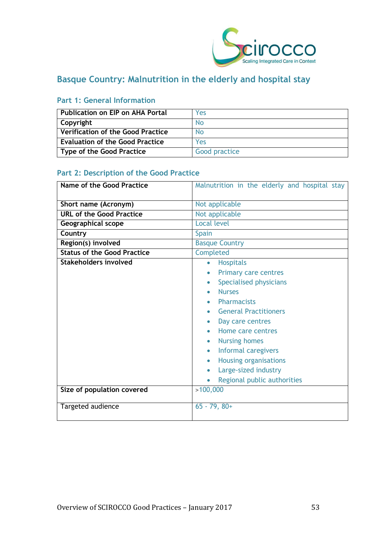

# **Basque Country: Malnutrition in the elderly and hospital stay**

| Publication on EIP on AHA Portal         | Yes           |
|------------------------------------------|---------------|
| Copyright                                | No            |
| <b>Verification of the Good Practice</b> | No            |
| <b>Evaluation of the Good Practice</b>   | Yes           |
| Type of the Good Practice                | Good practice |

# **Part 1: General Information**

# **Part 2: Description of the Good Practice**

| Name of the Good Practice          | Malnutrition in the elderly and hospital stay                                                                                                                                                                            |
|------------------------------------|--------------------------------------------------------------------------------------------------------------------------------------------------------------------------------------------------------------------------|
| Short name (Acronym)               | Not applicable                                                                                                                                                                                                           |
| <b>URL of the Good Practice</b>    | Not applicable                                                                                                                                                                                                           |
| Geographical scope                 | Local level                                                                                                                                                                                                              |
| Country                            | <b>Spain</b>                                                                                                                                                                                                             |
| Region(s) involved                 | <b>Basque Country</b>                                                                                                                                                                                                    |
| <b>Status of the Good Practice</b> | Completed                                                                                                                                                                                                                |
| Stakeholders involved              | <b>Hospitals</b><br>$\bullet$<br><b>Primary care centres</b><br>Specialised physicians<br><b>Nurses</b><br><b>Pharmacists</b>                                                                                            |
|                                    | <b>General Practitioners</b><br>Day care centres<br>Home care centres<br><b>Nursing homes</b><br>$\bullet$<br>Informal caregivers<br><b>Housing organisations</b><br>Large-sized industry<br>Regional public authorities |
| Size of population covered         | >100,000                                                                                                                                                                                                                 |
| Targeted audience                  | $65 - 79, 80+$                                                                                                                                                                                                           |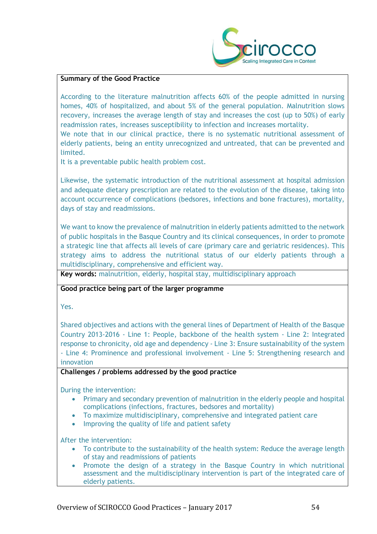

#### **Summary of the Good Practice**

According to the literature malnutrition affects 60% of the people admitted in nursing homes, 40% of hospitalized, and about 5% of the general population. Malnutrition slows recovery, increases the average length of stay and increases the cost (up to 50%) of early readmission rates, increases susceptibility to infection and increases mortality.

We note that in our clinical practice, there is no systematic nutritional assessment of elderly patients, being an entity unrecognized and untreated, that can be prevented and limited.

It is a preventable public health problem cost.

Likewise, the systematic introduction of the nutritional assessment at hospital admission and adequate dietary prescription are related to the evolution of the disease, taking into account occurrence of complications (bedsores, infections and bone fractures), mortality, days of stay and readmissions.

We want to know the prevalence of malnutrition in elderly patients admitted to the network of public hospitals in the Basque Country and its clinical consequences, in order to promote a strategic line that affects all levels of care (primary care and geriatric residences). This strategy aims to address the nutritional status of our elderly patients through a multidisciplinary, comprehensive and efficient way.

**Key words:** malnutrition, elderly, hospital stay, multidisciplinary approach

#### **Good practice being part of the larger programme**

Yes.

Shared objectives and actions with the general lines of Department of Health of the Basque Country 2013-2016 - Line 1: People, backbone of the health system - Line 2: Integrated response to chronicity, old age and dependency - Line 3: Ensure sustainability of the system - Line 4: Prominence and professional involvement - Line 5: Strengthening research and innovation

#### **Challenges / problems addressed by the good practice**

During the intervention:

- Primary and secondary prevention of malnutrition in the elderly people and hospital complications (infections, fractures, bedsores and mortality)
- To maximize multidisciplinary, comprehensive and integrated patient care
- Improving the quality of life and patient safety

After the intervention:

- To contribute to the sustainability of the health system: Reduce the average length of stay and readmissions of patients
- Promote the design of a strategy in the Basque Country in which nutritional assessment and the multidisciplinary intervention is part of the integrated care of elderly patients.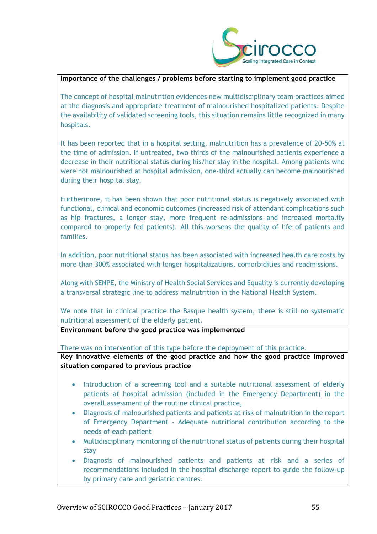

#### **Importance of the challenges / problems before starting to implement good practice**

The concept of hospital malnutrition evidences new multidisciplinary team practices aimed at the diagnosis and appropriate treatment of malnourished hospitalized patients. Despite the availability of validated screening tools, this situation remains little recognized in many hospitals.

It has been reported that in a hospital setting, malnutrition has a prevalence of 20-50% at the time of admission. If untreated, two thirds of the malnourished patients experience a decrease in their nutritional status during his/her stay in the hospital. Among patients who were not malnourished at hospital admission, one-third actually can become malnourished during their hospital stay.

Furthermore, it has been shown that poor nutritional status is negatively associated with functional, clinical and economic outcomes (increased risk of attendant complications such as hip fractures, a longer stay, more frequent re-admissions and increased mortality compared to properly fed patients). All this worsens the quality of life of patients and families.

In addition, poor nutritional status has been associated with increased health care costs by more than 300% associated with longer hospitalizations, comorbidities and readmissions.

Along with SENPE, the Ministry of Health Social Services and Equality is currently developing a transversal strategic line to address malnutrition in the National Health System.

We note that in clinical practice the Basque health system, there is still no systematic nutritional assessment of the elderly patient.

**Environment before the good practice was implemented** 

There was no intervention of this type before the deployment of this practice.

**Key innovative elements of the good practice and how the good practice improved situation compared to previous practice**

- Introduction of a screening tool and a suitable nutritional assessment of elderly patients at hospital admission (included in the Emergency Department) in the overall assessment of the routine clinical practice,
- Diagnosis of malnourished patients and patients at risk of malnutrition in the report of Emergency Department - Adequate nutritional contribution according to the needs of each patient
- Multidisciplinary monitoring of the nutritional status of patients during their hospital stay
- Diagnosis of malnourished patients and patients at risk and a series of recommendations included in the hospital discharge report to guide the follow-up by primary care and geriatric centres.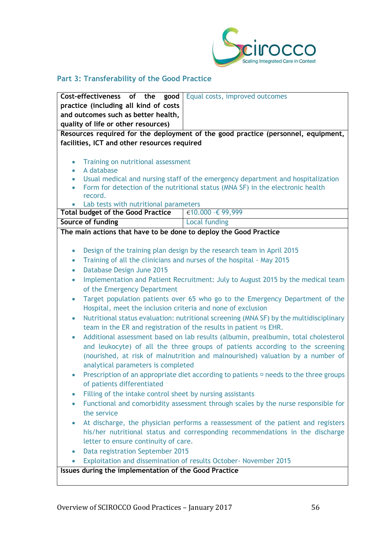

# **Part 3: Transferability of the Good Practice**

| Equal costs, improved outcomes<br>Cost-effectiveness of the good                                    |  |  |
|-----------------------------------------------------------------------------------------------------|--|--|
| practice (including all kind of costs                                                               |  |  |
| and outcomes such as better health,                                                                 |  |  |
| quality of life or other resources)                                                                 |  |  |
| Resources required for the deployment of the good practice (personnel, equipment,                   |  |  |
| facilities, ICT and other resources required                                                        |  |  |
|                                                                                                     |  |  |
| Training on nutritional assessment<br>$\bullet$                                                     |  |  |
| A database<br>$\bullet$                                                                             |  |  |
| Usual medical and nursing staff of the emergency department and hospitalization<br>$\bullet$        |  |  |
| Form for detection of the nutritional status (MNA SF) in the electronic health<br>$\bullet$         |  |  |
| record.<br>Lab tests with nutritional parameters                                                    |  |  |
| €10.000 -€ 99,999<br><b>Total budget of the Good Practice</b>                                       |  |  |
| Source of funding<br>Local funding                                                                  |  |  |
| The main actions that have to be done to deploy the Good Practice                                   |  |  |
|                                                                                                     |  |  |
| Design of the training plan design by the research team in April 2015<br>$\bullet$                  |  |  |
| Training of all the clinicians and nurses of the hospital - May 2015<br>$\bullet$                   |  |  |
| Database Design June 2015<br>$\bullet$                                                              |  |  |
| Implementation and Patient Recruitment: July to August 2015 by the medical team<br>$\bullet$        |  |  |
| of the Emergency Department                                                                         |  |  |
| Target population patients over 65 who go to the Emergency Department of the<br>$\bullet$           |  |  |
| Hospital, meet the inclusion criteria and none of exclusion                                         |  |  |
| Nutritional status evaluation: nutritional screening (MNA SF) by the multidisciplinary<br>$\bullet$ |  |  |
| team in the ER and registration of the results in patient <sup>os</sup> EHR.                        |  |  |
| Additional assessment based on lab results (albumin, prealbumin, total cholesterol<br>$\bullet$     |  |  |
| and leukocyte) of all the three groups of patients according to the screening                       |  |  |
| (nourished, at risk of malnutrition and malnourished) valuation by a number of                      |  |  |
| analytical parameters is completed                                                                  |  |  |
| Prescription of an appropriate diet according to patients $\Box$ needs to the three groups          |  |  |
| of patients differentiated                                                                          |  |  |
| Filling of the intake control sheet by nursing assistants<br>$\bullet$                              |  |  |
| Functional and comorbidity assessment through scales by the nurse responsible for<br>$\bullet$      |  |  |
| the service                                                                                         |  |  |
| At discharge, the physician performs a reassessment of the patient and registers<br>$\bullet$       |  |  |
| his/her nutritional status and corresponding recommendations in the discharge                       |  |  |
| letter to ensure continuity of care.                                                                |  |  |
| Data registration September 2015<br>$\bullet$                                                       |  |  |
| Exploitation and dissemination of results October- November 2015<br>$\bullet$                       |  |  |
| Issues during the implementation of the Good Practice                                               |  |  |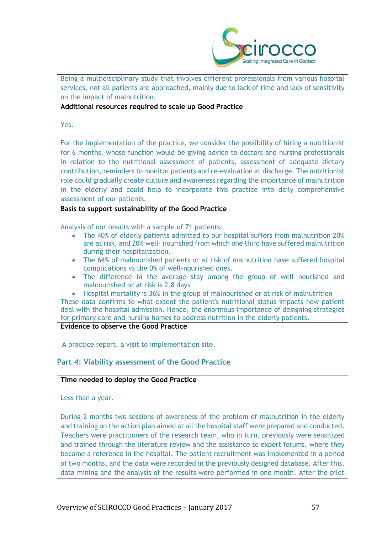

Being a multidisciplinary study that involves different professionals from various hospital services, not all patients are approached, mainly due to lack of time and lack of sensitivity on the impact of malnutrition.

#### **Additional resources required to scale up Good Practice**

Yes.

For the implementation of the practice, we consider the possibility of hiring a nutritionist for 6 months, whose function would be giving advice to doctors and nursing professionals in relation to the nutritional assessment of patients, assessment of adequate dietary contribution, reminders to monitor patients and re-evaluation at discharge. The nutritionist role could gradually create culture and awareness regarding the importance of malnutrition in the elderly and could help to incorporate this practice into daily comprehensive assessment of our patients.

## **Basis to support sustainability of the Good Practice**

Analysis of our results with a sample of 71 patients:

- The 40% of elderly patients admitted to our hospital suffers from malnutrition 20% are at risk, and 20% well- nourished from which one third have suffered malnutrition during their hospitalization.
- The 64% of malnourished patients or at risk of malnutrition have suffered hospital complications vs the 0% of well-nourished ones.
- The difference in the average stay among the group of well nourished and malnourished or at risk is 2.8 days
- Hospital mortality is 36% in the group of malnourished or at risk of malnutrition These data confirms to what extent the patient's nutritional status impacts how patient

deal with the hospital admission. Hence, the enormous importance of designing strategies for primary care and nursing homes to address nutrition in the elderly patients.

**Evidence to observe the Good Practice**

A practice report, a visit to implementation site.

# **Part 4: Viability assessment of the Good Practice**

## **Time needed to deploy the Good Practice**

Less than a year.

During 2 months two sessions of awareness of the problem of malnutrition in the elderly and training on the action plan aimed at all the hospital staff were prepared and conducted. Teachers were practitioners of the research team, who in turn, previously were sensitized and trained through the literature review and the assistance to expert forums, where they became a reference in the hospital. The patient recruitment was implemented in a period of two months, and the data were recorded in the previously designed database. After this, data mining and the analysis of the results were performed in one month. After the pilot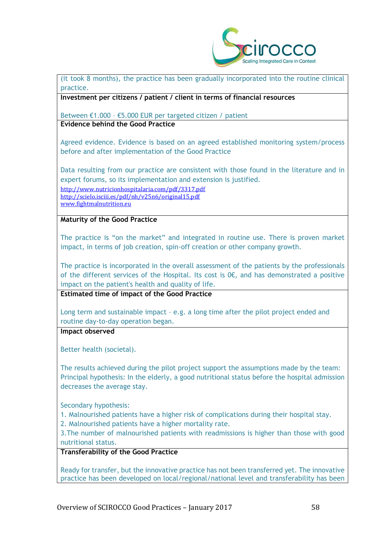

#### (it took 8 months), the practice has been gradually incorporated into the routine clinical practice.

**Investment per citizens / patient / client in terms of financial resources**

Between €1.000 – €5.000 EUR per targeted citizen / patient **Evidence behind the Good Practice**

Agreed evidence. Evidence is based on an agreed established monitoring system/process before and after implementation of the Good Practice

Data resulting from our practice are consistent with those found in the literature and in expert forums, so its implementation and extension is justified. <http://www.nutricionhospitalaria.com/pdf/3317.pdf>

<http://scielo.isciii.es/pdf/nh/v25n6/original15.pdf> [www.fightmalnutrition.eu](http://www.fightmalnutrition.eu/)

**Maturity of the Good Practice**

The practice is "on the market" and integrated in routine use. There is proven market impact, in terms of job creation, spin-off creation or other company growth.

The practice is incorporated in the overall assessment of the patients by the professionals of the different services of the Hospital. Its cost is  $0 \epsilon$ , and has demonstrated a positive impact on the patient's health and quality of life.

**Estimated time of impact of the Good Practice**

Long term and sustainable impact – e.g. a long time after the pilot project ended and routine day-to-day operation began.

**Impact observed**

Better health (societal).

The results achieved during the pilot project support the assumptions made by the team: Principal hypothesis: In the elderly, a good nutritional status before the hospital admission decreases the average stay.

Secondary hypothesis:

1. Malnourished patients have a higher risk of complications during their hospital stay.

2. Malnourished patients have a higher mortality rate.

3.The number of malnourished patients with readmissions is higher than those with good nutritional status.

## **Transferability of the Good Practice**

Ready for transfer, but the innovative practice has not been transferred yet. The innovative practice has been developed on local/regional/national level and transferability has been